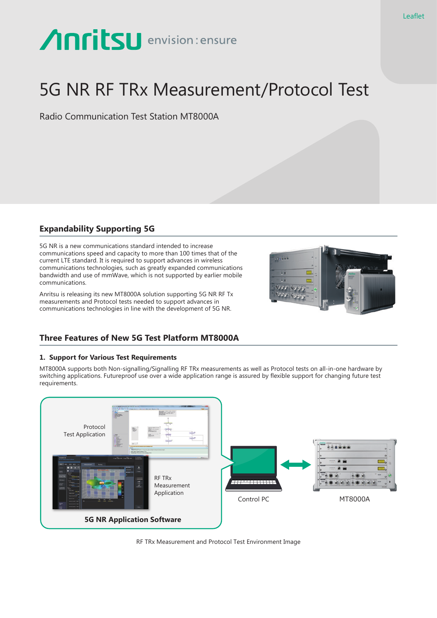# **Anritsu** envision: ensure

# 5G NR RF TRx Measurement/Protocol Test

Radio Communication Test Station MT8000A

# **Expandability Supporting 5G**

5G NR is a new communications standard intended to increase communications speed and capacity to more than 100 times that of the current LTE standard. It is required to support advances in wireless communications technologies, such as greatly expanded communications bandwidth and use of mmWave, which is not supported by earlier mobile communications.

Anritsu is releasing its new MT8000A solution supporting 5G NR RF Tx measurements and Protocol tests needed to support advances in communications technologies in line with the development of 5G NR.



## **Three Features of New 5G Test Platform MT8000A**

### **1. Support for Various Test Requirements**

MT8000A supports both Non-signalling/Signalling RF TRx measurements as well as Protocol tests on all-in-one hardware by switching applications. Futureproof use over a wide application range is assured by flexible support for changing future test requirements.



RF TRx Measurement and Protocol Test Environment Image